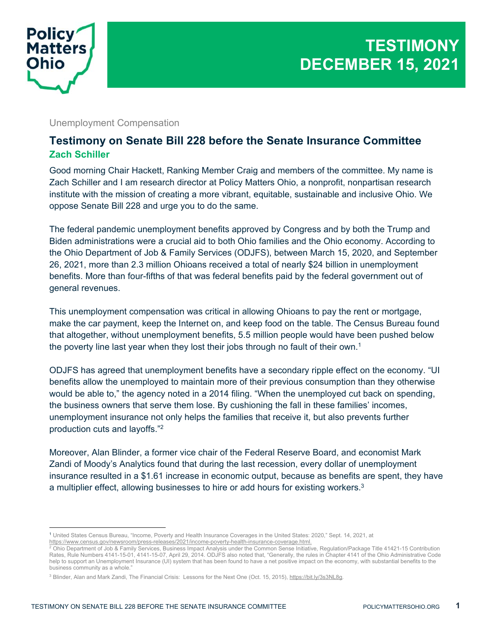

## Unemployment Compensation

## **Testimony on Senate Bill 228 before the Senate Insurance Committee Zach Schiller**

Good morning Chair Hackett, Ranking Member Craig and members of the committee. My name is Zach Schiller and I am research director at Policy Matters Ohio, a nonprofit, nonpartisan research institute with the mission of creating a more vibrant, equitable, sustainable and inclusive Ohio. We oppose Senate Bill 228 and urge you to do the same.

The federal pandemic unemployment benefits approved by Congress and by both the Trump and Biden administrations were a crucial aid to both Ohio families and the Ohio economy. According to the Ohio Department of Job & Family Services (ODJFS), between March 15, 2020, and September 26, 2021, more than 2.3 million Ohioans received a total of nearly \$24 billion in unemployment benefits. More than four-fifths of that was federal benefits paid by the federal government out of general revenues.

This unemployment compensation was critical in allowing Ohioans to pay the rent or mortgage, make the car payment, keep the Internet on, and keep food on the table. The Census Bureau found that altogether, without unemployment benefits, 5.5 million people would have been pushed below the poverty line last year when they lost their jobs through no fault of their own.<sup>1</sup>

ODJFS has agreed that unemployment benefits have a secondary ripple effect on the economy. "UI benefits allow the unemployed to maintain more of their previous consumption than they otherwise would be able to," the agency noted in a 2014 filing. "When the unemployed cut back on spending, the business owners that serve them lose. By cushioning the fall in these families' incomes, unemployment insurance not only helps the families that receive it, but also prevents further production cuts and layoffs."2

Moreover, Alan Blinder, a former vice chair of the Federal Reserve Board, and economist Mark Zandi of Moody's Analytics found that during the last recession, every dollar of unemployment insurance resulted in a \$1.61 increase in economic output, because as benefits are spent, they have a multiplier effect, allowing businesses to hire or add hours for existing workers.<sup>3</sup>

<sup>1</sup> United States Census Bureau, "Income, Poverty and Health Insurance Coverages in the United States: 2020," Sept. 14, 2021, at

https://www.census.gov/newsroom/press-releases/2021/income-poverty-health-insurance-coverage.html.<br><sup>2</sup> Ohio Department of Job & Family Services, Business Impact Analysis under the Common Sense Initiative, Regulation/Packag Rates, Rule Numbers 4141-15-01, 4141-15-07, April 29, 2014. ODJFS also noted that, "Generally, the rules in Chapter 4141 of the Ohio Administrative Code help to support an Unemployment Insurance (UI) system that has been found to have a net positive impact on the economy, with substantial benefits to the business community as a whole."

<sup>&</sup>lt;sup>3</sup> Blinder, Alan and Mark Zandi, The Financial Crisis: Lessons for the Next One (Oct. 15, 2015), https://bit.ly/3s3NL8g.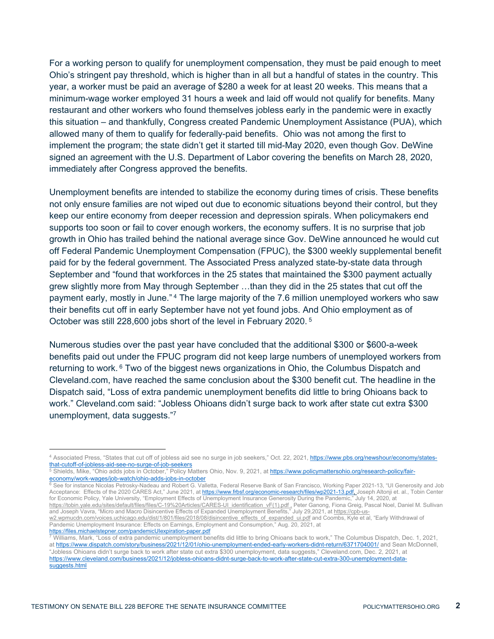For a working person to qualify for unemployment compensation, they must be paid enough to meet Ohio's stringent pay threshold, which is higher than in all but a handful of states in the country. This year, a worker must be paid an average of \$280 a week for at least 20 weeks. This means that a minimum-wage worker employed 31 hours a week and laid off would not qualify for benefits. Many restaurant and other workers who found themselves jobless early in the pandemic were in exactly this situation – and thankfully, Congress created Pandemic Unemployment Assistance (PUA), which allowed many of them to qualify for federally-paid benefits. Ohio was not among the first to implement the program; the state didn't get it started till mid-May 2020, even though Gov. DeWine signed an agreement with the U.S. Department of Labor covering the benefits on March 28, 2020, immediately after Congress approved the benefits.

Unemployment benefits are intended to stabilize the economy during times of crisis. These benefits not only ensure families are not wiped out due to economic situations beyond their control, but they keep our entire economy from deeper recession and depression spirals. When policymakers end supports too soon or fail to cover enough workers, the economy suffers. It is no surprise that job growth in Ohio has trailed behind the national average since Gov. DeWine announced he would cut off Federal Pandemic Unemployment Compensation (FPUC), the \$300 weekly supplemental benefit paid for by the federal government. The Associated Press analyzed state-by-state data through September and "found that workforces in the 25 states that maintained the \$300 payment actually grew slightly more from May through September …than they did in the 25 states that cut off the payment early, mostly in June." 4 The large majority of the 7.6 million unemployed workers who saw their benefits cut off in early September have not yet found jobs. And Ohio employment as of October was still 228,600 jobs short of the level in February 2020. 5

Numerous studies over the past year have concluded that the additional \$300 or \$600-a-week benefits paid out under the FPUC program did not keep large numbers of unemployed workers from returning to work. <sup>6</sup> Two of the biggest news organizations in Ohio, the Columbus Dispatch and Cleveland.com, have reached the same conclusion about the \$300 benefit cut. The headline in the Dispatch said, "Loss of extra pandemic unemployment benefits did little to bring Ohioans back to work." Cleveland.com said: "Jobless Ohioans didn't surge back to work after state cut extra \$300 unemployment, data suggests."7

<sup>4</sup> Associated Press, "States that cut off of jobless aid see no surge in job seekers," Oct. 22, 2021, https://www.pbs.org/newshour/economy/states-<br>that-cutoff-of-jobless-aid-see-no-surge-of-job-seekers

 $\frac{1}{6}$ Shields, Mike, "Ohio adds jobs in October," Policy Matters Ohio, Nov. 9, 2021, at https://www.policymattersohio.org/research-policy/fair-economy/work-wages/job-watch/ohio-adds-jobs-in-october

<sup>6</sup> See for instance Nicolas Petrosky-Nadeau and Robert G. Valletta, Federal Reserve Bank of San Francisco, Working Paper 2021-13, "UI Generosity and Job Acceptance: Effects of the 2020 CARES Act," June 2021, at https://www.frbsf.org/economic-research/files/wp2021-13.pdf, Joseph Altonji et. al., Tobin Center for Economic Policy, Yale University, "Employment Effects of Unemployment Insurance Generosity During the Pandemic," July 14, 2020, at

https://tobin.yale.edu/sites/default/files/files/C-19%20Articles/CARES-UI\_identification\_vF(1).pdf , Peter Ganong, Fiona Greig, Pascal Noel, Daniel M. Sullivan and Joseph Vavra, "Micro and Macro Disincentive Effects of Expanded Unemployment Benefits," July 29,2021, at <u>https://cpb-us-</u>

w2.wpmucdn.com/voices.uchicago.edu/dist/1/801/files/2018/08/disincentive\_effects\_of\_expanded\_ui.pdf and Coombs, Kyle et al, "Early Withdrawal of Pandemic Unemployment Insurance: Effects on Earnings, Employment and Consumption," Aug. 20, 2021, at<br>https://files.michaelstepner.com/pandemicUlexpiration-paper.pdf<br>7 Williams Mark "Loss of ovtra pandemic unemployment for

Williams, Mark, "Loss of extra pandemic unemployment benefits did little to bring Ohioans back to work," The Columbus Dispatch, Dec. 1, 2021, at https://www.dispatch.com/story/business/2021/12/01/ohio-unemployment-ended-early-workers-didnt-return/6371704001/ and Sean McDonnell, "Jobless Ohioans didn't surge back to work after state cut extra \$300 unemployment, data suggests," Cleveland.com, Dec. 2, 2021, at https://www.cleveland.com/business/2021/12/jobless-ohioans-didnt-surge-back-to-work-after-state-cut-extra-300-unemployment-datasuggests.html